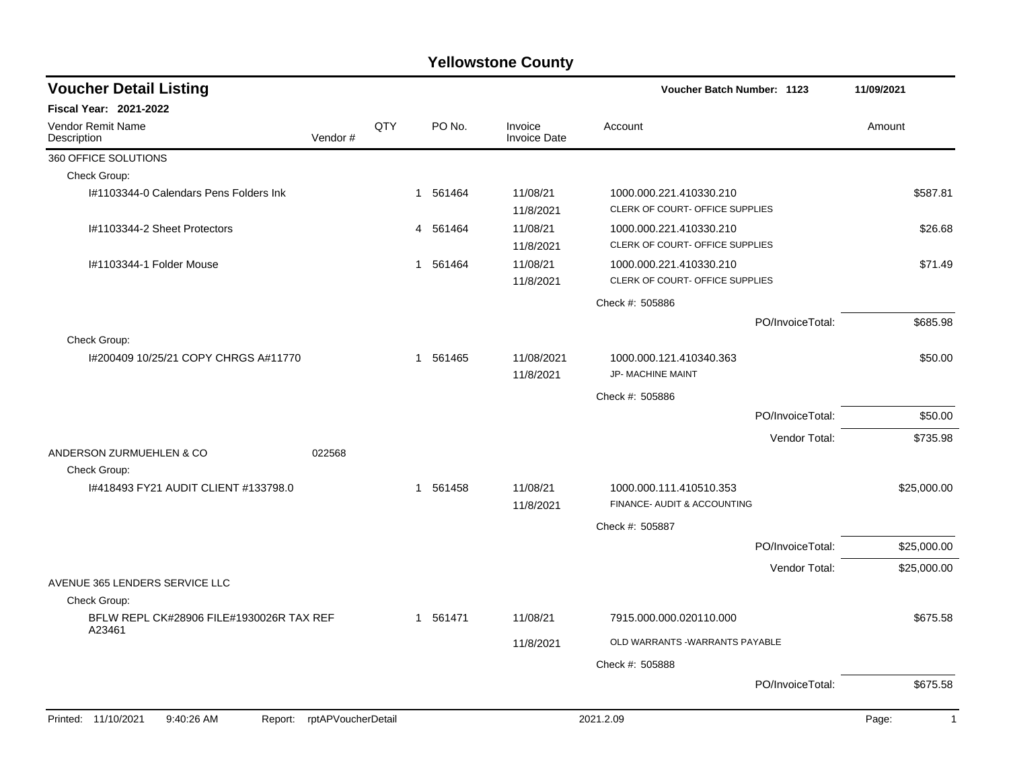| <b>Voucher Detail Listing</b>                                   |     |          |                                | Voucher Batch Number: 1123                                 |                  | 11/09/2021            |
|-----------------------------------------------------------------|-----|----------|--------------------------------|------------------------------------------------------------|------------------|-----------------------|
| <b>Fiscal Year: 2021-2022</b>                                   |     |          |                                |                                                            |                  |                       |
| Vendor Remit Name<br>Vendor#<br>Description                     | QTY | PO No.   | Invoice<br><b>Invoice Date</b> | Account                                                    |                  | Amount                |
| 360 OFFICE SOLUTIONS                                            |     |          |                                |                                                            |                  |                       |
| Check Group:                                                    |     |          |                                |                                                            |                  |                       |
| I#1103344-0 Calendars Pens Folders Ink                          |     | 1 561464 | 11/08/21<br>11/8/2021          | 1000.000.221.410330.210<br>CLERK OF COURT- OFFICE SUPPLIES |                  | \$587.81              |
| I#1103344-2 Sheet Protectors                                    |     | 4 561464 | 11/08/21<br>11/8/2021          | 1000.000.221.410330.210<br>CLERK OF COURT- OFFICE SUPPLIES |                  | \$26.68               |
| I#1103344-1 Folder Mouse                                        |     | 1 561464 | 11/08/21<br>11/8/2021          | 1000.000.221.410330.210<br>CLERK OF COURT- OFFICE SUPPLIES |                  | \$71.49               |
|                                                                 |     |          |                                | Check #: 505886                                            |                  |                       |
|                                                                 |     |          |                                |                                                            | PO/InvoiceTotal: | \$685.98              |
| Check Group:<br>I#200409 10/25/21 COPY CHRGS A#11770            |     | 1 561465 | 11/08/2021<br>11/8/2021        | 1000.000.121.410340.363<br><b>JP- MACHINE MAINT</b>        |                  | \$50.00               |
|                                                                 |     |          |                                | Check #: 505886                                            |                  |                       |
|                                                                 |     |          |                                |                                                            | PO/InvoiceTotal: | \$50.00               |
|                                                                 |     |          |                                |                                                            | Vendor Total:    | \$735.98              |
| ANDERSON ZURMUEHLEN & CO<br>022568<br>Check Group:              |     |          |                                |                                                            |                  |                       |
| 1#418493 FY21 AUDIT CLIENT #133798.0                            |     | 1 561458 | 11/08/21<br>11/8/2021          | 1000.000.111.410510.353<br>FINANCE- AUDIT & ACCOUNTING     |                  | \$25,000.00           |
|                                                                 |     |          |                                | Check #: 505887                                            |                  |                       |
|                                                                 |     |          |                                |                                                            | PO/InvoiceTotal: | \$25,000.00           |
|                                                                 |     |          |                                |                                                            | Vendor Total:    | \$25,000.00           |
| AVENUE 365 LENDERS SERVICE LLC<br>Check Group:                  |     |          |                                |                                                            |                  |                       |
| BFLW REPL CK#28906 FILE#1930026R TAX REF                        |     | 1 561471 | 11/08/21                       | 7915.000.000.020110.000                                    |                  | \$675.58              |
| A23461                                                          |     |          | 11/8/2021                      | OLD WARRANTS -WARRANTS PAYABLE                             |                  |                       |
|                                                                 |     |          |                                | Check #: 505888                                            |                  |                       |
|                                                                 |     |          |                                |                                                            | PO/InvoiceTotal: | \$675.58              |
| Printed: 11/10/2021<br>9:40:26 AM<br>Report: rptAPVoucherDetail |     |          |                                | 2021.2.09                                                  |                  | Page:<br>$\mathbf{1}$ |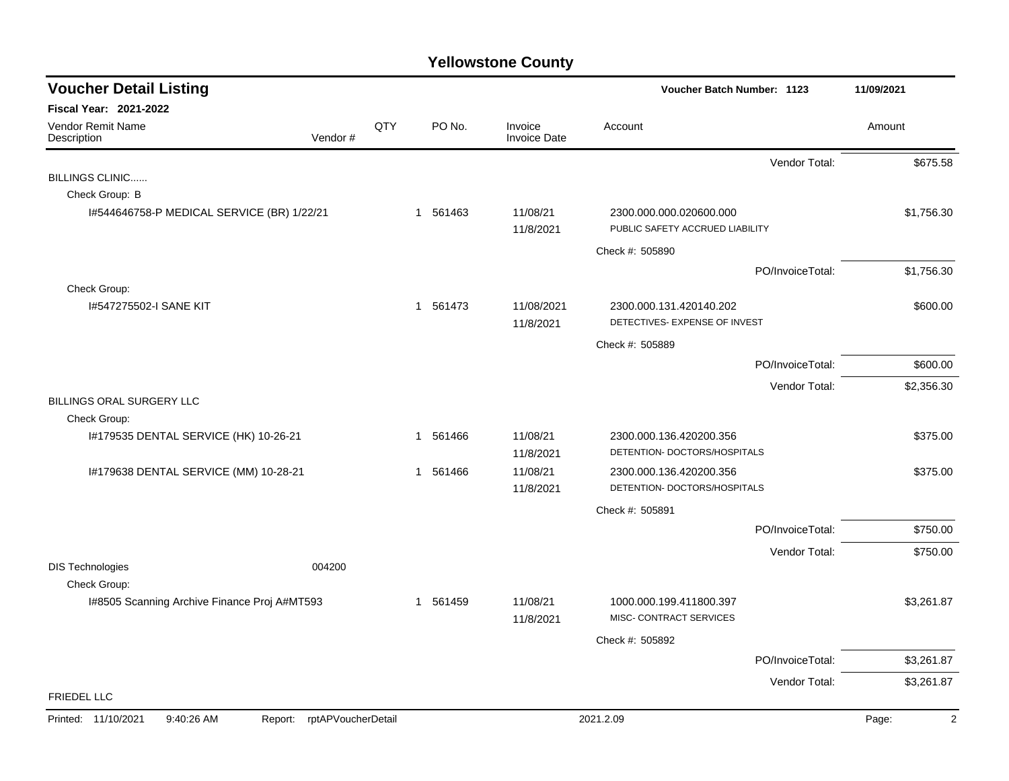| <b>Voucher Detail Listing</b>                |                               |     |          |                                | Voucher Batch Number: 1123                                 | 11/09/2021 |
|----------------------------------------------|-------------------------------|-----|----------|--------------------------------|------------------------------------------------------------|------------|
| Fiscal Year: 2021-2022                       |                               |     |          |                                |                                                            |            |
| Vendor Remit Name<br>Description             | Vendor#                       | QTY | PO No.   | Invoice<br><b>Invoice Date</b> | Account                                                    | Amount     |
|                                              |                               |     |          |                                | Vendor Total:                                              | \$675.58   |
| BILLINGS CLINIC                              |                               |     |          |                                |                                                            |            |
| Check Group: B                               |                               |     |          |                                |                                                            |            |
| 1#544646758-P MEDICAL SERVICE (BR) 1/22/21   |                               |     | 1 561463 | 11/08/21<br>11/8/2021          | 2300.000.000.020600.000<br>PUBLIC SAFETY ACCRUED LIABILITY | \$1,756.30 |
|                                              |                               |     |          |                                | Check #: 505890                                            |            |
|                                              |                               |     |          |                                | PO/InvoiceTotal:                                           | \$1,756.30 |
| Check Group:                                 |                               |     |          |                                |                                                            |            |
| 1#547275502-I SANE KIT                       |                               |     | 1 561473 | 11/08/2021<br>11/8/2021        | 2300.000.131.420140.202<br>DETECTIVES- EXPENSE OF INVEST   | \$600.00   |
|                                              |                               |     |          |                                | Check #: 505889                                            |            |
|                                              |                               |     |          |                                | PO/InvoiceTotal:                                           | \$600.00   |
|                                              |                               |     |          |                                | Vendor Total:                                              | \$2,356.30 |
| BILLINGS ORAL SURGERY LLC                    |                               |     |          |                                |                                                            |            |
| Check Group:                                 |                               |     |          |                                |                                                            |            |
| I#179535 DENTAL SERVICE (HK) 10-26-21        |                               |     | 1 561466 | 11/08/21                       | 2300.000.136.420200.356                                    | \$375.00   |
|                                              |                               |     |          | 11/8/2021                      | DETENTION- DOCTORS/HOSPITALS                               |            |
| 1#179638 DENTAL SERVICE (MM) 10-28-21        |                               |     | 1 561466 | 11/08/21                       | 2300.000.136.420200.356                                    | \$375.00   |
|                                              |                               |     |          | 11/8/2021                      | DETENTION- DOCTORS/HOSPITALS                               |            |
|                                              |                               |     |          |                                | Check #: 505891                                            |            |
|                                              |                               |     |          |                                | PO/InvoiceTotal:                                           | \$750.00   |
|                                              |                               |     |          |                                | Vendor Total:                                              | \$750.00   |
| <b>DIS Technologies</b>                      | 004200                        |     |          |                                |                                                            |            |
| Check Group:                                 |                               |     |          |                                |                                                            |            |
| I#8505 Scanning Archive Finance Proj A#MT593 |                               |     | 1 561459 | 11/08/21<br>11/8/2021          | 1000.000.199.411800.397<br>MISC- CONTRACT SERVICES         | \$3,261.87 |
|                                              |                               |     |          |                                | Check #: 505892                                            |            |
|                                              |                               |     |          |                                | PO/InvoiceTotal:                                           | \$3,261.87 |
|                                              |                               |     |          |                                | Vendor Total:                                              | \$3,261.87 |
| <b>FRIEDEL LLC</b>                           |                               |     |          |                                |                                                            |            |
| Printed: 11/10/2021<br>9:40:26 AM            | rptAPVoucherDetail<br>Report: |     |          |                                | 2021.2.09                                                  | 2<br>Page: |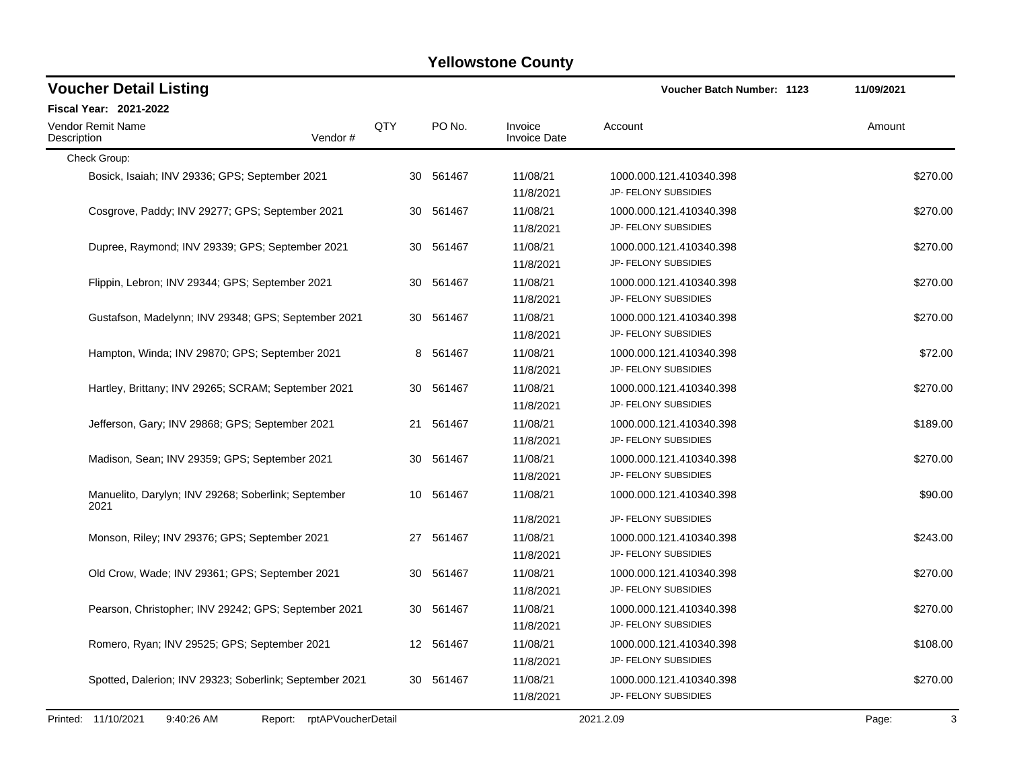| <b>Voucher Detail Listing</b>                                   |     |           |                                    | Voucher Batch Number: 1123                                              | 11/09/2021 |
|-----------------------------------------------------------------|-----|-----------|------------------------------------|-------------------------------------------------------------------------|------------|
| Fiscal Year: 2021-2022                                          |     |           |                                    |                                                                         |            |
| <b>Vendor Remit Name</b><br>Description<br>Vendor#              | QTY | PO No.    | Invoice<br><b>Invoice Date</b>     | Account                                                                 | Amount     |
| Check Group:                                                    |     |           |                                    |                                                                         |            |
| Bosick, Isaiah; INV 29336; GPS; September 2021                  |     | 30 561467 | 11/08/21<br>11/8/2021              | 1000.000.121.410340.398<br>JP- FELONY SUBSIDIES                         | \$270.00   |
| Cosgrove, Paddy; INV 29277; GPS; September 2021                 |     | 30 561467 | 11/08/21<br>11/8/2021              | 1000.000.121.410340.398<br>JP- FELONY SUBSIDIES                         | \$270.00   |
| Dupree, Raymond; INV 29339; GPS; September 2021                 |     | 30 561467 | 11/08/21<br>11/8/2021              | 1000.000.121.410340.398<br>JP- FELONY SUBSIDIES                         | \$270.00   |
| Flippin, Lebron; INV 29344; GPS; September 2021                 |     | 30 561467 | 11/08/21<br>11/8/2021              | 1000.000.121.410340.398<br>JP- FELONY SUBSIDIES                         | \$270.00   |
| Gustafson, Madelynn; INV 29348; GPS; September 2021             | 30  | 561467    | 11/08/21<br>11/8/2021              | 1000.000.121.410340.398<br>JP- FELONY SUBSIDIES                         | \$270.00   |
| Hampton, Winda; INV 29870; GPS; September 2021                  | 8   | 561467    | 11/08/21<br>11/8/2021              | 1000.000.121.410340.398<br>JP- FELONY SUBSIDIES                         | \$72.00    |
| Hartley, Brittany; INV 29265; SCRAM; September 2021             | 30  | 561467    | 11/08/21<br>11/8/2021              | 1000.000.121.410340.398<br>JP- FELONY SUBSIDIES                         | \$270.00   |
| Jefferson, Gary; INV 29868; GPS; September 2021                 | 21  | 561467    | 11/08/21<br>11/8/2021              | 1000.000.121.410340.398<br>JP- FELONY SUBSIDIES                         | \$189.00   |
| Madison, Sean; INV 29359; GPS; September 2021                   | 30  | 561467    | 11/08/21<br>11/8/2021              | 1000.000.121.410340.398<br>JP- FELONY SUBSIDIES                         | \$270.00   |
| Manuelito, Darylyn; INV 29268; Soberlink; September<br>2021     | 10  | 561467    | 11/08/21                           | 1000.000.121.410340.398                                                 | \$90.00    |
| Monson, Riley; INV 29376; GPS; September 2021                   |     | 27 561467 | 11/8/2021<br>11/08/21<br>11/8/2021 | JP- FELONY SUBSIDIES<br>1000.000.121.410340.398<br>JP- FELONY SUBSIDIES | \$243.00   |
| Old Crow, Wade; INV 29361; GPS; September 2021                  | 30  | 561467    | 11/08/21<br>11/8/2021              | 1000.000.121.410340.398<br>JP- FELONY SUBSIDIES                         | \$270.00   |
| Pearson, Christopher; INV 29242; GPS; September 2021            | 30  | 561467    | 11/08/21<br>11/8/2021              | 1000.000.121.410340.398<br>JP- FELONY SUBSIDIES                         | \$270.00   |
| Romero, Ryan; INV 29525; GPS; September 2021                    |     | 12 561467 | 11/08/21<br>11/8/2021              | 1000.000.121.410340.398<br>JP- FELONY SUBSIDIES                         | \$108.00   |
| Spotted, Dalerion; INV 29323; Soberlink; September 2021         |     | 30 561467 | 11/08/21<br>11/8/2021              | 1000.000.121.410340.398<br>JP- FELONY SUBSIDIES                         | \$270.00   |
| Printed: 11/10/2021<br>9:40:26 AM<br>Report: rptAPVoucherDetail |     |           |                                    | 2021.2.09                                                               | 3<br>Page: |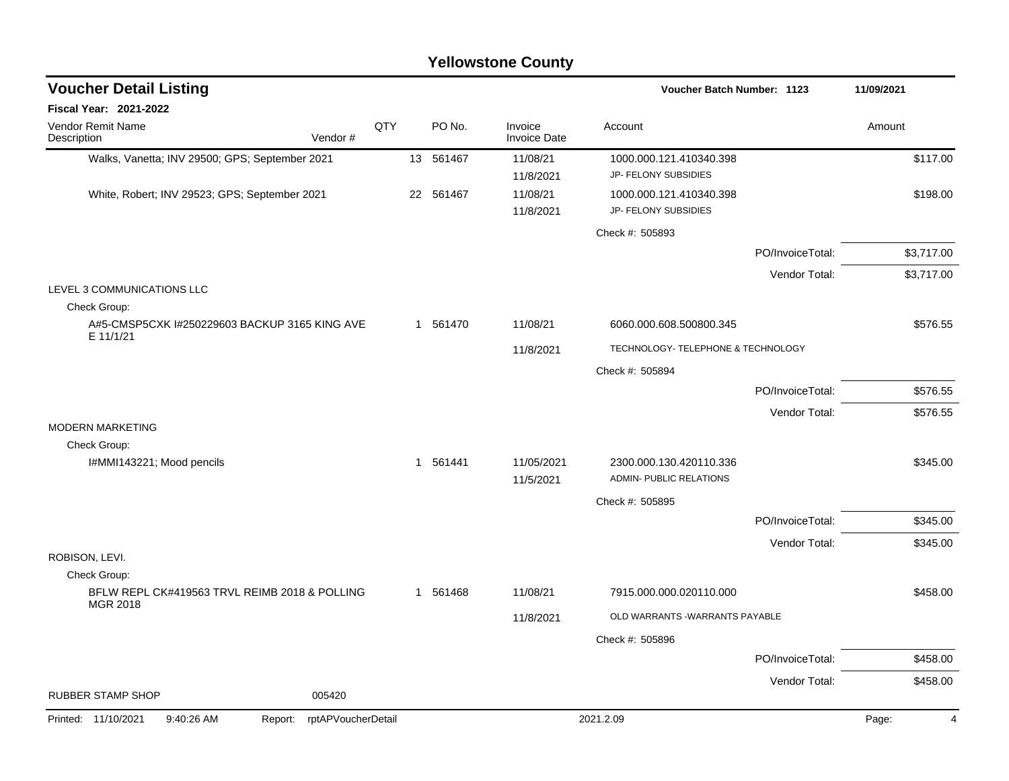|                                                                           |     |           | <b>Yellowstone County</b> |                                                    |                  |            |
|---------------------------------------------------------------------------|-----|-----------|---------------------------|----------------------------------------------------|------------------|------------|
| <b>Voucher Detail Listing</b>                                             |     |           |                           | Voucher Batch Number: 1123                         |                  | 11/09/2021 |
| <b>Fiscal Year: 2021-2022</b>                                             |     |           |                           |                                                    |                  |            |
| <b>Vendor Remit Name</b><br>Vendor#<br>Description                        | QTY | PO No.    | Invoice<br>Invoice Date   | Account                                            |                  | Amount     |
| Walks, Vanetta; INV 29500; GPS; September 2021                            |     | 13 561467 | 11/08/21<br>11/8/2021     | 1000.000.121.410340.398<br>JP- FELONY SUBSIDIES    |                  | \$117.00   |
| White, Robert; INV 29523; GPS; September 2021                             |     | 22 561467 | 11/08/21<br>11/8/2021     | 1000.000.121.410340.398<br>JP- FELONY SUBSIDIES    |                  | \$198.00   |
|                                                                           |     |           |                           | Check #: 505893                                    |                  |            |
|                                                                           |     |           |                           |                                                    | PO/InvoiceTotal: | \$3,717.00 |
|                                                                           |     |           |                           |                                                    | Vendor Total:    | \$3,717.00 |
| LEVEL 3 COMMUNICATIONS LLC<br>Check Group:                                |     |           |                           |                                                    |                  |            |
| A#5-CMSP5CXK I#250229603 BACKUP 3165 KING AVE<br>E 11/1/21                |     | 1 561470  | 11/08/21                  | 6060.000.608.500800.345                            |                  | \$576.55   |
|                                                                           |     |           | 11/8/2021                 | TECHNOLOGY- TELEPHONE & TECHNOLOGY                 |                  |            |
|                                                                           |     |           |                           | Check #: 505894                                    |                  |            |
|                                                                           |     |           |                           |                                                    | PO/InvoiceTotal: | \$576.55   |
|                                                                           |     |           |                           |                                                    | Vendor Total:    | \$576.55   |
| <b>MODERN MARKETING</b><br>Check Group:                                   |     |           |                           |                                                    |                  |            |
| I#MMI143221; Mood pencils                                                 |     | 1 561441  | 11/05/2021<br>11/5/2021   | 2300.000.130.420110.336<br>ADMIN- PUBLIC RELATIONS |                  | \$345.00   |
|                                                                           |     |           |                           | Check #: 505895                                    |                  |            |
|                                                                           |     |           |                           |                                                    | PO/InvoiceTotal: | \$345.00   |
|                                                                           |     |           |                           |                                                    | Vendor Total:    | \$345.00   |
| ROBISON, LEVI.                                                            |     |           |                           |                                                    |                  |            |
| Check Group:<br>BFLW REPL CK#419563 TRVL REIMB 2018 & POLLING<br>MGR 2018 |     | 1 561468  | 11/08/21                  | 7915.000.000.020110.000                            |                  | \$458.00   |
|                                                                           |     |           | 11/8/2021                 | OLD WARRANTS -WARRANTS PAYABLE                     |                  |            |
|                                                                           |     |           |                           | Check #: 505896                                    |                  |            |
|                                                                           |     |           |                           |                                                    | PO/InvoiceTotal: | \$458.00   |
| <b>RUBBER STAMP SHOP</b><br>005420                                        |     |           |                           |                                                    | Vendor Total:    | \$458.00   |

## Printed: 11/10/2021 9:40:26 AM Report: rptAPVoucherDetail 2021.2.09 2021.2.09 Page: 4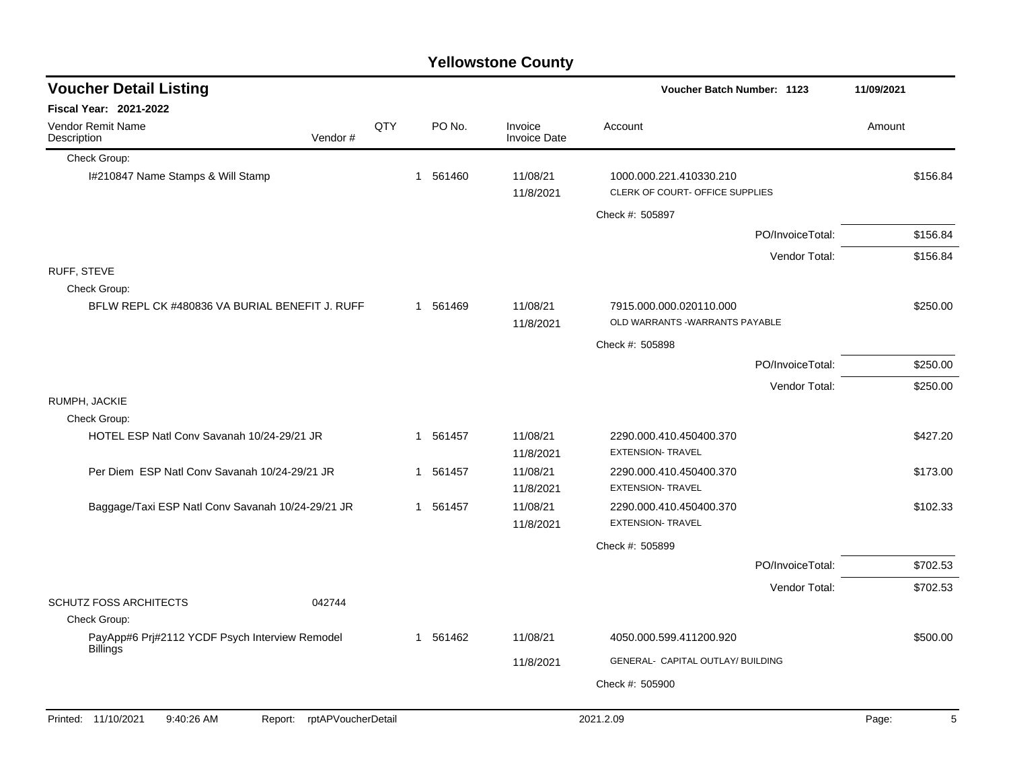|                                                                   |         |     |                        | <b>Yellowstone County</b>      |                                                            |                  |            |
|-------------------------------------------------------------------|---------|-----|------------------------|--------------------------------|------------------------------------------------------------|------------------|------------|
| <b>Voucher Detail Listing</b>                                     |         |     |                        |                                | Voucher Batch Number: 1123                                 |                  | 11/09/2021 |
| <b>Fiscal Year: 2021-2022</b>                                     |         |     |                        |                                |                                                            |                  |            |
| Vendor Remit Name<br>Description                                  | Vendor# | QTY | PO No.                 | Invoice<br><b>Invoice Date</b> | Account                                                    |                  | Amount     |
| Check Group:                                                      |         |     |                        |                                |                                                            |                  |            |
| I#210847 Name Stamps & Will Stamp                                 |         |     | 561460<br>$\mathbf{1}$ | 11/08/21<br>11/8/2021          | 1000.000.221.410330.210<br>CLERK OF COURT- OFFICE SUPPLIES |                  | \$156.84   |
|                                                                   |         |     |                        |                                | Check #: 505897                                            |                  |            |
|                                                                   |         |     |                        |                                |                                                            | PO/InvoiceTotal: | \$156.84   |
|                                                                   |         |     |                        |                                |                                                            | Vendor Total:    | \$156.84   |
| RUFF, STEVE                                                       |         |     |                        |                                |                                                            |                  |            |
| Check Group:<br>BFLW REPL CK #480836 VA BURIAL BENEFIT J. RUFF    |         |     | 1 561469               | 11/08/21<br>11/8/2021          | 7915.000.000.020110.000<br>OLD WARRANTS -WARRANTS PAYABLE  |                  | \$250.00   |
|                                                                   |         |     |                        |                                | Check #: 505898                                            |                  |            |
|                                                                   |         |     |                        |                                |                                                            | PO/InvoiceTotal: | \$250.00   |
|                                                                   |         |     |                        |                                |                                                            | Vendor Total:    | \$250.00   |
| RUMPH, JACKIE                                                     |         |     |                        |                                |                                                            |                  |            |
| Check Group:                                                      |         |     |                        |                                |                                                            |                  |            |
| HOTEL ESP Natl Conv Savanah 10/24-29/21 JR                        |         |     | 561457<br>$\mathbf{1}$ | 11/08/21<br>11/8/2021          | 2290.000.410.450400.370<br><b>EXTENSION- TRAVEL</b>        |                  | \$427.20   |
| Per Diem ESP Natl Conv Savanah 10/24-29/21 JR                     |         |     | 561457<br>$\mathbf{1}$ | 11/08/21                       | 2290.000.410.450400.370                                    |                  | \$173.00   |
|                                                                   |         |     |                        | 11/8/2021                      | <b>EXTENSION- TRAVEL</b>                                   |                  |            |
| Baggage/Taxi ESP Natl Conv Savanah 10/24-29/21 JR                 |         |     | 1 561457               | 11/08/21<br>11/8/2021          | 2290.000.410.450400.370<br><b>EXTENSION- TRAVEL</b>        |                  | \$102.33   |
|                                                                   |         |     |                        |                                | Check #: 505899                                            |                  |            |
|                                                                   |         |     |                        |                                |                                                            | PO/InvoiceTotal: | \$702.53   |
|                                                                   |         |     |                        |                                |                                                            | Vendor Total:    | \$702.53   |
| <b>SCHUTZ FOSS ARCHITECTS</b>                                     | 042744  |     |                        |                                |                                                            |                  |            |
| Check Group:                                                      |         |     |                        |                                |                                                            |                  |            |
| PayApp#6 Prj#2112 YCDF Psych Interview Remodel<br><b>Billings</b> |         |     | 1 561462               | 11/08/21                       | 4050.000.599.411200.920                                    |                  | \$500.00   |
|                                                                   |         |     |                        | 11/8/2021                      | GENERAL- CAPITAL OUTLAY/ BUILDING                          |                  |            |
|                                                                   |         |     |                        |                                | Check #: 505900                                            |                  |            |
|                                                                   |         |     |                        |                                |                                                            |                  |            |